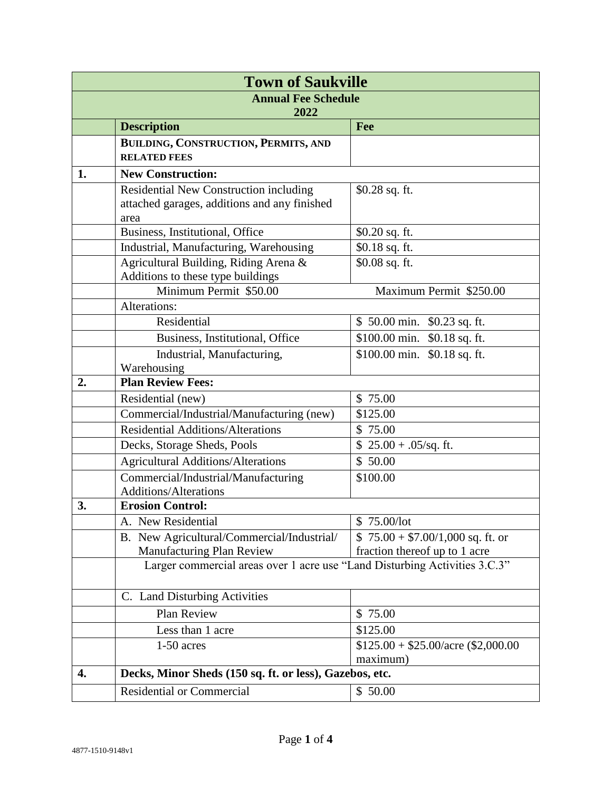| <b>Town of Saukville</b>           |                                                                                                       |                                                         |  |  |
|------------------------------------|-------------------------------------------------------------------------------------------------------|---------------------------------------------------------|--|--|
| <b>Annual Fee Schedule</b><br>2022 |                                                                                                       |                                                         |  |  |
|                                    | <b>Description</b>                                                                                    | Fee                                                     |  |  |
|                                    | BUILDING, CONSTRUCTION, PERMITS, AND                                                                  |                                                         |  |  |
|                                    | <b>RELATED FEES</b>                                                                                   |                                                         |  |  |
| 1.                                 | <b>New Construction:</b>                                                                              |                                                         |  |  |
|                                    | <b>Residential New Construction including</b><br>attached garages, additions and any finished<br>area | $$0.28$ sq. ft.                                         |  |  |
|                                    | Business, Institutional, Office                                                                       | $$0.20$ sq. ft.                                         |  |  |
|                                    | Industrial, Manufacturing, Warehousing                                                                | \$0.18 sq. ft.                                          |  |  |
|                                    | Agricultural Building, Riding Arena &<br>Additions to these type buildings                            | \$0.08 sq. ft.                                          |  |  |
|                                    | Minimum Permit \$50.00                                                                                | Maximum Permit \$250.00                                 |  |  |
|                                    | Alterations:                                                                                          |                                                         |  |  |
|                                    | Residential                                                                                           | \$50.00 min.<br>$$0.23$ sq. ft.                         |  |  |
|                                    | Business, Institutional, Office                                                                       | \$100.00 min. \$0.18 sq. ft.                            |  |  |
|                                    | Industrial, Manufacturing,<br>Warehousing                                                             | \$100.00 min. \$0.18 sq. ft.                            |  |  |
| 2.                                 | <b>Plan Review Fees:</b>                                                                              |                                                         |  |  |
|                                    | Residential (new)                                                                                     | \$75.00                                                 |  |  |
|                                    | Commercial/Industrial/Manufacturing (new)                                                             | \$125.00                                                |  |  |
|                                    | <b>Residential Additions/Alterations</b>                                                              | \$75.00                                                 |  |  |
|                                    | Decks, Storage Sheds, Pools                                                                           | $$25.00 + .05$ /sq. ft.                                 |  |  |
|                                    | <b>Agricultural Additions/Alterations</b>                                                             | \$50.00                                                 |  |  |
|                                    | Commercial/Industrial/Manufacturing<br><b>Additions/Alterations</b>                                   | \$100.00                                                |  |  |
| 3.                                 | <b>Erosion Control:</b>                                                                               |                                                         |  |  |
|                                    | A. New Residential                                                                                    | \$75.00/lot                                             |  |  |
|                                    | B. New Agricultural/Commercial/Industrial/                                                            | $$75.00 + $7.00/1,000$ sq. ft. or                       |  |  |
|                                    | <b>Manufacturing Plan Review</b>                                                                      | fraction thereof up to 1 acre                           |  |  |
|                                    | Larger commercial areas over 1 acre use "Land Disturbing Activities 3.C.3"                            |                                                         |  |  |
|                                    | C. Land Disturbing Activities                                                                         |                                                         |  |  |
|                                    | Plan Review                                                                                           | \$75.00                                                 |  |  |
|                                    | Less than 1 acre                                                                                      | \$125.00                                                |  |  |
|                                    | $1-50$ acres                                                                                          | $$125.00 + $25.00/\text{acre}$ (\$2,000.00)<br>maximum) |  |  |
| 4.                                 | Decks, Minor Sheds (150 sq. ft. or less), Gazebos, etc.                                               |                                                         |  |  |
|                                    | <b>Residential or Commercial</b>                                                                      | \$50.00                                                 |  |  |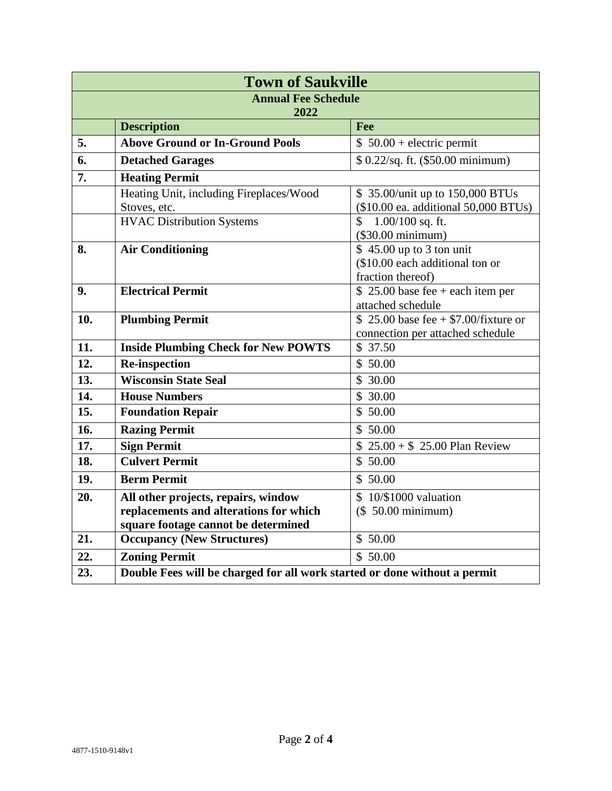| <b>Town of Saukville</b>           |                                                                           |                                                                                   |  |  |
|------------------------------------|---------------------------------------------------------------------------|-----------------------------------------------------------------------------------|--|--|
| <b>Annual Fee Schedule</b><br>2022 |                                                                           |                                                                                   |  |  |
|                                    | <b>Description</b>                                                        | Fee                                                                               |  |  |
| 5.                                 | <b>Above Ground or In-Ground Pools</b>                                    | $$50.00 + electric$ permit                                                        |  |  |
| 6.                                 | <b>Detached Garages</b>                                                   | \$ 0.22/sq. ft. (\$50.00 minimum)                                                 |  |  |
| 7.                                 | <b>Heating Permit</b>                                                     |                                                                                   |  |  |
|                                    | Heating Unit, including Fireplaces/Wood<br>Stoves, etc.                   | \$35.00/unit up to 150,000 BTUs<br>(\$10.00 ea. additional 50,000 BTUs)           |  |  |
|                                    | <b>HVAC Distribution Systems</b>                                          | $\mathcal{S}$<br>$1.00/100$ sq. ft.<br>$(\$30.00$ minimum)                        |  |  |
| 8.                                 | <b>Air Conditioning</b>                                                   | $$45.00$ up to 3 ton unit<br>(\$10.00 each additional ton or<br>fraction thereof) |  |  |
| 9.                                 | <b>Electrical Permit</b>                                                  | $$25.00$ base fee + each item per<br>attached schedule                            |  |  |
| 10.                                | <b>Plumbing Permit</b>                                                    | \$ 25.00 base fee $+$ \$7.00/fixture or<br>connection per attached schedule       |  |  |
| 11.                                | <b>Inside Plumbing Check for New POWTS</b>                                | \$37.50                                                                           |  |  |
| 12.                                | <b>Re-inspection</b>                                                      | \$50.00                                                                           |  |  |
| 13.                                | <b>Wisconsin State Seal</b>                                               | \$30.00                                                                           |  |  |
| 14.                                | <b>House Numbers</b>                                                      | \$30.00                                                                           |  |  |
| 15.                                | <b>Foundation Repair</b>                                                  | \$50.00                                                                           |  |  |
| 16.                                | <b>Razing Permit</b>                                                      | \$50.00                                                                           |  |  |
| 17.                                | <b>Sign Permit</b>                                                        | $$25.00 + $25.00$ Plan Review                                                     |  |  |
| 18.                                | <b>Culvert Permit</b>                                                     | \$50.00                                                                           |  |  |
| 19.                                | <b>Berm Permit</b>                                                        | \$50.00                                                                           |  |  |
| 20.                                | All other projects, repairs, window                                       | \$10/\$1000 valuation                                                             |  |  |
|                                    | replacements and alterations for which                                    | (\$ 50.00 minimum)                                                                |  |  |
| 21.                                | square footage cannot be determined                                       |                                                                                   |  |  |
|                                    | <b>Occupancy (New Structures)</b>                                         | \$50.00                                                                           |  |  |
| 22.                                | <b>Zoning Permit</b>                                                      | \$50.00                                                                           |  |  |
| 23.                                | Double Fees will be charged for all work started or done without a permit |                                                                                   |  |  |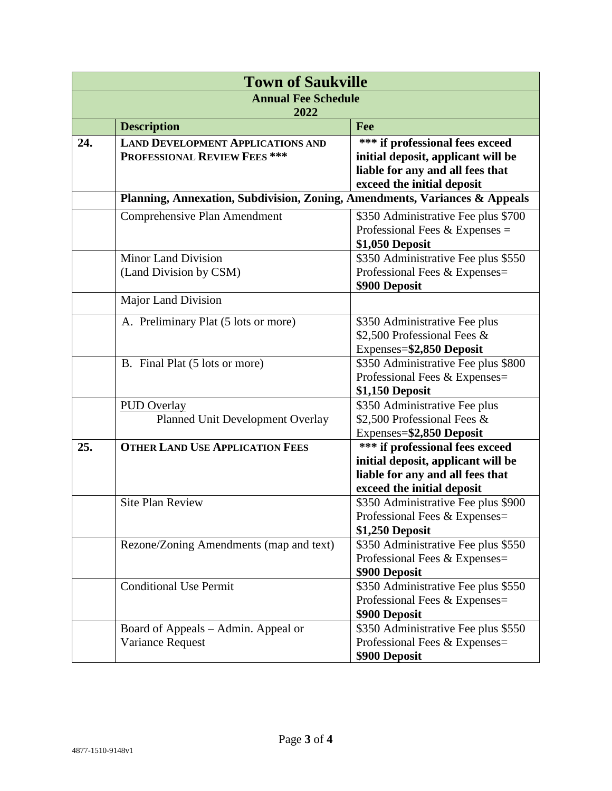| <b>Town of Saukville</b>           |                                                                            |                                                                      |  |  |
|------------------------------------|----------------------------------------------------------------------------|----------------------------------------------------------------------|--|--|
| <b>Annual Fee Schedule</b><br>2022 |                                                                            |                                                                      |  |  |
|                                    | <b>Description</b>                                                         | Fee                                                                  |  |  |
| 24.                                | <b>LAND DEVELOPMENT APPLICATIONS AND</b>                                   | *** if professional fees exceed                                      |  |  |
|                                    | PROFESSIONAL REVIEW FEES ***                                               | initial deposit, applicant will be                                   |  |  |
|                                    |                                                                            | liable for any and all fees that                                     |  |  |
|                                    | Planning, Annexation, Subdivision, Zoning, Amendments, Variances & Appeals | exceed the initial deposit                                           |  |  |
|                                    | Comprehensive Plan Amendment                                               | \$350 Administrative Fee plus \$700                                  |  |  |
|                                    |                                                                            | Professional Fees $&$ Expenses =                                     |  |  |
|                                    |                                                                            | \$1,050 Deposit                                                      |  |  |
|                                    | <b>Minor Land Division</b>                                                 | \$350 Administrative Fee plus \$550                                  |  |  |
|                                    | (Land Division by CSM)                                                     | Professional Fees & Expenses=                                        |  |  |
|                                    |                                                                            | \$900 Deposit                                                        |  |  |
|                                    | <b>Major Land Division</b>                                                 |                                                                      |  |  |
|                                    | A. Preliminary Plat (5 lots or more)                                       | \$350 Administrative Fee plus                                        |  |  |
|                                    |                                                                            | \$2,500 Professional Fees &                                          |  |  |
|                                    |                                                                            | Expenses=\$2,850 Deposit                                             |  |  |
|                                    | B. Final Plat (5 lots or more)                                             | \$350 Administrative Fee plus \$800<br>Professional Fees & Expenses= |  |  |
|                                    |                                                                            | \$1,150 Deposit                                                      |  |  |
|                                    | <b>PUD Overlay</b>                                                         | \$350 Administrative Fee plus                                        |  |  |
|                                    | Planned Unit Development Overlay                                           | \$2,500 Professional Fees &                                          |  |  |
|                                    |                                                                            | Expenses=\$2,850 Deposit                                             |  |  |
| 25.                                | <b>OTHER LAND USE APPLICATION FEES</b>                                     | *** if professional fees exceed                                      |  |  |
|                                    |                                                                            | initial deposit, applicant will be                                   |  |  |
|                                    |                                                                            | liable for any and all fees that<br>exceed the initial deposit       |  |  |
|                                    | <b>Site Plan Review</b>                                                    | \$350 Administrative Fee plus \$900                                  |  |  |
|                                    |                                                                            | Professional Fees & Expenses=                                        |  |  |
|                                    |                                                                            | \$1,250 Deposit                                                      |  |  |
|                                    | Rezone/Zoning Amendments (map and text)                                    | \$350 Administrative Fee plus \$550                                  |  |  |
|                                    |                                                                            | Professional Fees & Expenses=                                        |  |  |
|                                    |                                                                            | \$900 Deposit                                                        |  |  |
|                                    | <b>Conditional Use Permit</b>                                              | \$350 Administrative Fee plus \$550                                  |  |  |
|                                    |                                                                            | Professional Fees & Expenses=<br>\$900 Deposit                       |  |  |
|                                    | Board of Appeals – Admin. Appeal or                                        | \$350 Administrative Fee plus \$550                                  |  |  |
|                                    | Variance Request                                                           | Professional Fees & Expenses=                                        |  |  |
|                                    |                                                                            | \$900 Deposit                                                        |  |  |